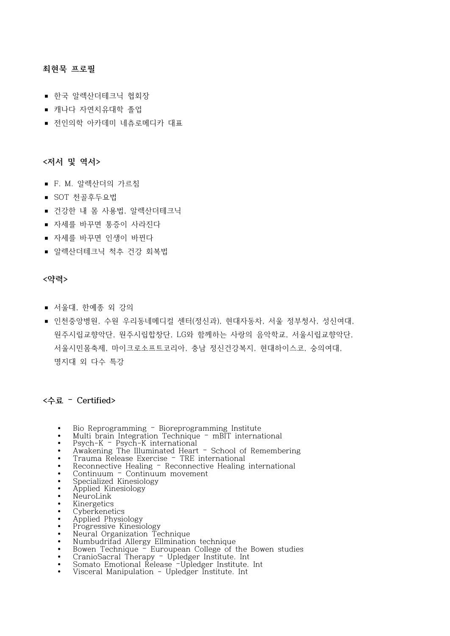## **최현묵 프로필**

- 한국 알렉산더테크닉 협회장
- 캐나다 자연치유대학 졸업
- 전인의학 아카데미 네츄로메디카 대표

## **<저서 및 역서>**

- F. M. 알렉산더의 가르침
- $\blacksquare$  SOT 천골후두요법
- 건강한 내 몸 사용법, 알렉산더테크닉
- 자세를 바꾸면 통증이 사라진다
- 자세를 바꾸면 인생이 바뀐다
- 알렉산더테크닉 척추 건강 회복법

## **<약력>**

- 서울대, 한예종 외 강의
- 인천중앙병원, 수원 우리동네메디컬 센터(정신과), 현대자동차, 서울 정부청사, 성신여대, 원주시립교향악단, 원주시립합창단, LG와 함께하는 사랑의 음악학교, 서울시립교향악단, 서울시민몸축제, 마이크로소프트코리아, 충남 정신건강복지, 현대하이스코, 숭의여대, 명지대 외 다수 특강

## **<수료 – Certified>**

- **•** Bio Reprogramming Bioreprogramming Institute
- **•** Multi brain Integration Technique mBIT international **•** Psych-K Psych-K international
- 
- Awakening The Illuminated Heart <sup>–</sup> School of Remembering Trauma Release Exercise <sup>–</sup> TRE international
- 
- **•** Trauma Release Exercise TRE international **•** Reconnective Healing Reconnective Healing international
- **•** Continuum Continuum movement
- **•** Specialized Kinesiology
- **•** Applied Kinesiology **•** NeuroLink
- 
- **•** Kinergetics
- **•** Cyberkenetics **•** Applied Physiology
- **•** Progressive Kinesiology
- 
- **•** Neural Organization Technique **•** Numbudrifad Allergy Ellmination technique
- **•** Bowen Technique Euroupean College of the Bowen studies
- **•** CranioSacral Therapy Upledger Institute. Int
- **•** Somato Emotional Release –Upledger Institute. Int
- **•** Visceral Manipulation Upledger Institute. Int